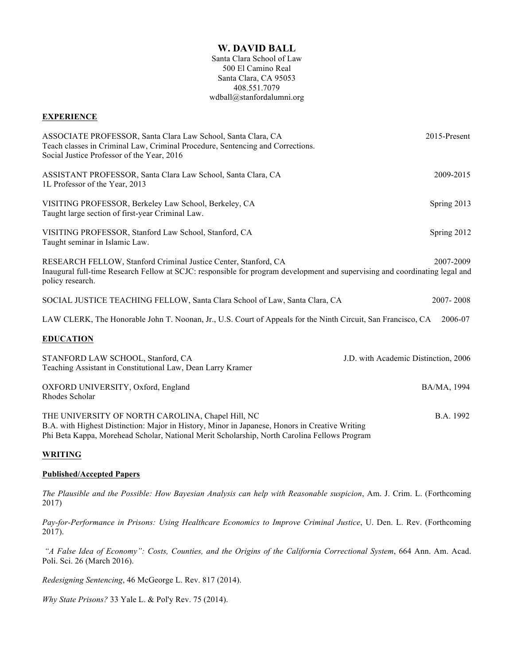# **W. DAVID BALL**

Santa Clara School of Law 500 El Camino Real Santa Clara, CA 95053 408.551.7079 wdball@stanfordalumni.org

### **EXPERIENCE**

| ASSOCIATE PROFESSOR, Santa Clara Law School, Santa Clara, CA<br>Teach classes in Criminal Law, Criminal Procedure, Sentencing and Corrections.<br>Social Justice Professor of the Year, 2016                                                        | 2015-Present                         |  |
|-----------------------------------------------------------------------------------------------------------------------------------------------------------------------------------------------------------------------------------------------------|--------------------------------------|--|
| ASSISTANT PROFESSOR, Santa Clara Law School, Santa Clara, CA<br>1L Professor of the Year, 2013                                                                                                                                                      | 2009-2015                            |  |
| VISITING PROFESSOR, Berkeley Law School, Berkeley, CA<br>Taught large section of first-year Criminal Law.                                                                                                                                           | Spring 2013                          |  |
| VISITING PROFESSOR, Stanford Law School, Stanford, CA<br>Taught seminar in Islamic Law.                                                                                                                                                             | Spring 2012                          |  |
| RESEARCH FELLOW, Stanford Criminal Justice Center, Stanford, CA<br>Inaugural full-time Research Fellow at SCJC: responsible for program development and supervising and coordinating legal and<br>policy research.                                  | 2007-2009                            |  |
| SOCIAL JUSTICE TEACHING FELLOW, Santa Clara School of Law, Santa Clara, CA                                                                                                                                                                          | 2007-2008                            |  |
| LAW CLERK, The Honorable John T. Noonan, Jr., U.S. Court of Appeals for the Ninth Circuit, San Francisco, CA<br>2006-07                                                                                                                             |                                      |  |
| <b>EDUCATION</b>                                                                                                                                                                                                                                    |                                      |  |
| STANFORD LAW SCHOOL, Stanford, CA<br>Teaching Assistant in Constitutional Law, Dean Larry Kramer                                                                                                                                                    | J.D. with Academic Distinction, 2006 |  |
| OXFORD UNIVERSITY, Oxford, England<br>Rhodes Scholar                                                                                                                                                                                                | BA/MA, 1994                          |  |
| THE UNIVERSITY OF NORTH CAROLINA, Chapel Hill, NC<br>B.A. with Highest Distinction: Major in History, Minor in Japanese, Honors in Creative Writing<br>Phi Beta Kappa, Morehead Scholar, National Merit Scholarship, North Carolina Fellows Program | B.A. 1992                            |  |

## **WRITING**

#### **Published/Accepted Papers**

*The Plausible and the Possible: How Bayesian Analysis can help with Reasonable suspicion*, Am. J. Crim. L. (Forthcoming 2017)

*Pay-for-Performance in Prisons: Using Healthcare Economics to Improve Criminal Justice*, U. Den. L. Rev. (Forthcoming 2017).

*"A False Idea of Economy": Costs, Counties, and the Origins of the California Correctional System*, 664 Ann. Am. Acad. Poli. Sci. 26 (March 2016).

*Redesigning Sentencing*, 46 McGeorge L. Rev. 817 (2014).

*Why State Prisons?* 33 Yale L. & Pol'y Rev. 75 (2014).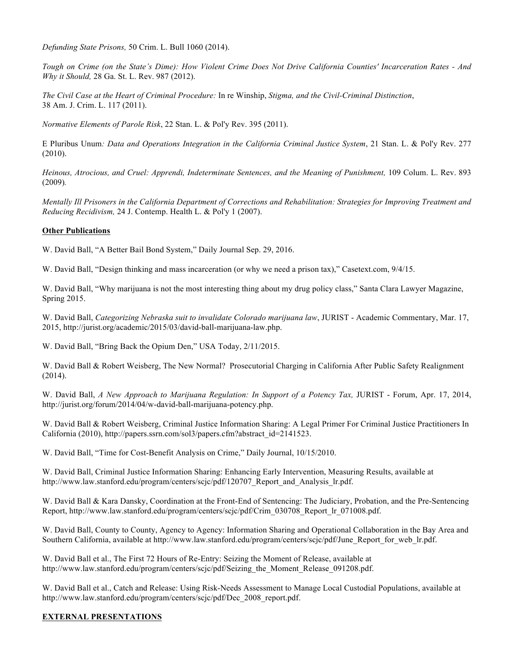*Defunding State Prisons,* 50 Crim. L. Bull 1060 (2014).

*Tough on Crime (on the State's Dime): How Violent Crime Does Not Drive California Counties' Incarceration Rates - And Why it Should,* 28 Ga. St. L. Rev. 987 (2012).

*The Civil Case at the Heart of Criminal Procedure:* In re Winship, *Stigma, and the Civil-Criminal Distinction*, 38 Am. J. Crim. L. 117 (2011).

*Normative Elements of Parole Risk*, 22 Stan. L. & Pol'y Rev. 395 (2011).

E Pluribus Unum*: Data and Operations Integration in the California Criminal Justice System*, 21 Stan. L. & Pol'y Rev. 277 (2010).

*Heinous, Atrocious, and Cruel: Apprendi, Indeterminate Sentences, and the Meaning of Punishment, 109 Colum. L. Rev. 893* (2009)*.* 

*Mentally Ill Prisoners in the California Department of Corrections and Rehabilitation: Strategies for Improving Treatment and Reducing Recidivism,* 24 J. Contemp. Health L. & Pol'y 1 (2007).

## **Other Publications**

W. David Ball, "A Better Bail Bond System," Daily Journal Sep. 29, 2016.

W. David Ball, "Design thinking and mass incarceration (or why we need a prison tax)," Casetext.com,  $9/4/15$ .

W. David Ball, "Why marijuana is not the most interesting thing about my drug policy class," Santa Clara Lawyer Magazine, Spring 2015.

W. David Ball, *Categorizing Nebraska suit to invalidate Colorado marijuana law*, JURIST - Academic Commentary, Mar. 17, 2015, http://jurist.org/academic/2015/03/david-ball-marijuana-law.php.

W. David Ball, "Bring Back the Opium Den," USA Today, 2/11/2015.

W. David Ball & Robert Weisberg, The New Normal? Prosecutorial Charging in California After Public Safety Realignment (2014).

W. David Ball, *A New Approach to Marijuana Regulation: In Support of a Potency Tax, JURIST - Forum, Apr. 17, 2014,* http://jurist.org/forum/2014/04/w-david-ball-marijuana-potency.php.

W. David Ball & Robert Weisberg, Criminal Justice Information Sharing: A Legal Primer For Criminal Justice Practitioners In California (2010), http://papers.ssrn.com/sol3/papers.cfm?abstract\_id=2141523.

W. David Ball, "Time for Cost-Benefit Analysis on Crime," Daily Journal, 10/15/2010.

W. David Ball, Criminal Justice Information Sharing: Enhancing Early Intervention, Measuring Results, available at http://www.law.stanford.edu/program/centers/scjc/pdf/120707\_Report\_and\_Analysis\_lr.pdf.

W. David Ball & Kara Dansky, Coordination at the Front-End of Sentencing: The Judiciary, Probation, and the Pre-Sentencing Report, http://www.law.stanford.edu/program/centers/scjc/pdf/Crim\_030708\_Report\_lr\_071008.pdf.

W. David Ball, County to County, Agency to Agency: Information Sharing and Operational Collaboration in the Bay Area and Southern California, available at http://www.law.stanford.edu/program/centers/scjc/pdf/June\_Report\_for\_web\_lr.pdf.

W. David Ball et al., The First 72 Hours of Re-Entry: Seizing the Moment of Release, available at http://www.law.stanford.edu/program/centers/scjc/pdf/Seizing\_the\_Moment\_Release\_091208.pdf.

W. David Ball et al., Catch and Release: Using Risk-Needs Assessment to Manage Local Custodial Populations, available at http://www.law.stanford.edu/program/centers/scjc/pdf/Dec\_2008\_report.pdf.

## **EXTERNAL PRESENTATIONS**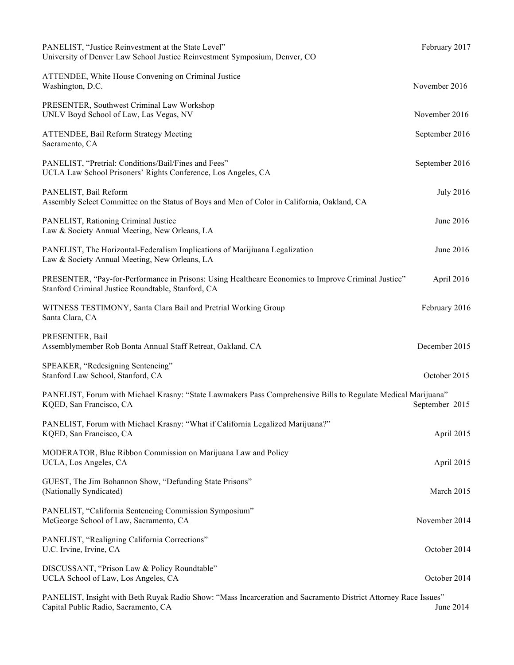| PANELIST, "Justice Reinvestment at the State Level"<br>University of Denver Law School Justice Reinvestment Symposium, Denver, CO                         | February 2017    |
|-----------------------------------------------------------------------------------------------------------------------------------------------------------|------------------|
| ATTENDEE, White House Convening on Criminal Justice<br>Washington, D.C.                                                                                   | November 2016    |
| PRESENTER, Southwest Criminal Law Workshop<br>UNLV Boyd School of Law, Las Vegas, NV                                                                      | November 2016    |
| <b>ATTENDEE, Bail Reform Strategy Meeting</b><br>Sacramento, CA                                                                                           | September 2016   |
| PANELIST, "Pretrial: Conditions/Bail/Fines and Fees"<br>UCLA Law School Prisoners' Rights Conference, Los Angeles, CA                                     | September 2016   |
| PANELIST, Bail Reform<br>Assembly Select Committee on the Status of Boys and Men of Color in California, Oakland, CA                                      | <b>July 2016</b> |
| PANELIST, Rationing Criminal Justice<br>Law & Society Annual Meeting, New Orleans, LA                                                                     | June 2016        |
| PANELIST, The Horizontal-Federalism Implications of Marijiuana Legalization<br>Law & Society Annual Meeting, New Orleans, LA                              | June 2016        |
| PRESENTER, "Pay-for-Performance in Prisons: Using Healthcare Economics to Improve Criminal Justice"<br>Stanford Criminal Justice Roundtable, Stanford, CA | April 2016       |
| WITNESS TESTIMONY, Santa Clara Bail and Pretrial Working Group<br>Santa Clara, CA                                                                         | February 2016    |
| PRESENTER, Bail<br>Assemblymember Rob Bonta Annual Staff Retreat, Oakland, CA                                                                             | December 2015    |
| SPEAKER, "Redesigning Sentencing"<br>Stanford Law School, Stanford, CA                                                                                    | October 2015     |
| PANELIST, Forum with Michael Krasny: "State Lawmakers Pass Comprehensive Bills to Regulate Medical Marijuana"<br>KQED, San Francisco, CA                  | September 2015   |
| PANELIST, Forum with Michael Krasny: "What if California Legalized Marijuana?"<br>KQED, San Francisco, CA                                                 | April 2015       |
| MODERATOR, Blue Ribbon Commission on Marijuana Law and Policy<br>UCLA, Los Angeles, CA                                                                    | April 2015       |
| GUEST, The Jim Bohannon Show, "Defunding State Prisons"<br>(Nationally Syndicated)                                                                        | March 2015       |
| PANELIST, "California Sentencing Commission Symposium"<br>McGeorge School of Law, Sacramento, CA                                                          | November 2014    |
| PANELIST, "Realigning California Corrections"<br>U.C. Irvine, Irvine, CA                                                                                  | October 2014     |
| DISCUSSANT, "Prison Law & Policy Roundtable"<br>UCLA School of Law, Los Angeles, CA                                                                       | October 2014     |
|                                                                                                                                                           |                  |

PANELIST, Insight with Beth Ruyak Radio Show: "Mass Incarceration and Sacramento District Attorney Race Issues" Capital Public Radio, Sacramento, CA June 2014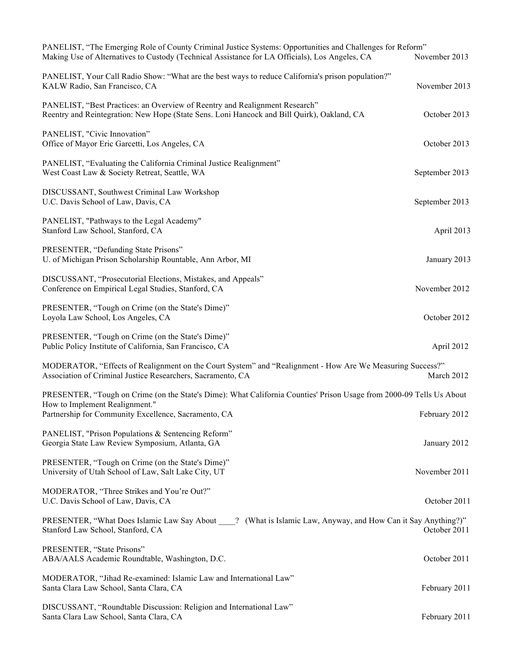| PANELIST, "The Emerging Role of County Criminal Justice Systems: Opportunities and Challenges for Reform"<br>Making Use of Alternatives to Custody (Technical Assistance for LA Officials), Los Angeles, CA | November 2013  |
|-------------------------------------------------------------------------------------------------------------------------------------------------------------------------------------------------------------|----------------|
| PANELIST, Your Call Radio Show: "What are the best ways to reduce California's prison population?"<br>KALW Radio, San Francisco, CA                                                                         | November 2013  |
| PANELIST, "Best Practices: an Overview of Reentry and Realignment Research"<br>Reentry and Reintegration: New Hope (State Sens. Loni Hancock and Bill Quirk), Oakland, CA                                   | October 2013   |
| PANELIST, "Civic Innovation"<br>Office of Mayor Eric Garcetti, Los Angeles, CA                                                                                                                              | October 2013   |
| PANELIST, "Evaluating the California Criminal Justice Realignment"<br>West Coast Law & Society Retreat, Seattle, WA                                                                                         | September 2013 |
| DISCUSSANT, Southwest Criminal Law Workshop<br>U.C. Davis School of Law, Davis, CA                                                                                                                          | September 2013 |
| PANELIST, "Pathways to the Legal Academy"<br>Stanford Law School, Stanford, CA                                                                                                                              | April 2013     |
| PRESENTER, "Defunding State Prisons"<br>U. of Michigan Prison Scholarship Rountable, Ann Arbor, MI                                                                                                          | January 2013   |
| DISCUSSANT, "Prosecutorial Elections, Mistakes, and Appeals"<br>Conference on Empirical Legal Studies, Stanford, CA                                                                                         | November 2012  |
| PRESENTER, "Tough on Crime (on the State's Dime)"<br>Loyola Law School, Los Angeles, CA                                                                                                                     | October 2012   |
| PRESENTER, "Tough on Crime (on the State's Dime)"<br>Public Policy Institute of California, San Francisco, CA                                                                                               | April 2012     |
| MODERATOR, "Effects of Realignment on the Court System" and "Realignment - How Are We Measuring Success?"<br>Association of Criminal Justice Researchers, Sacramento, CA                                    | March 2012     |
| PRESENTER, "Tough on Crime (on the State's Dime): What California Counties' Prison Usage from 2000-09 Tells Us About                                                                                        |                |
| How to Implement Realignment."<br>Partnership for Community Excellence, Sacramento, CA                                                                                                                      | February 2012  |
| PANELIST, "Prison Populations & Sentencing Reform"<br>Georgia State Law Review Symposium, Atlanta, GA                                                                                                       | January 2012   |
| PRESENTER, "Tough on Crime (on the State's Dime)"<br>University of Utah School of Law, Salt Lake City, UT                                                                                                   | November 2011  |
| MODERATOR, "Three Strikes and You're Out?"<br>U.C. Davis School of Law, Davis, CA                                                                                                                           | October 2011   |
| PRESENTER, "What Does Islamic Law Say About"? (What is Islamic Law, Anyway, and How Can it Say Anything?)"<br>Stanford Law School, Stanford, CA                                                             | October 2011   |
| PRESENTER, "State Prisons"<br>ABA/AALS Academic Roundtable, Washington, D.C.                                                                                                                                | October 2011   |
| MODERATOR, "Jihad Re-examined: Islamic Law and International Law"<br>Santa Clara Law School, Santa Clara, CA                                                                                                | February 2011  |
| DISCUSSANT, "Roundtable Discussion: Religion and International Law"<br>Santa Clara Law School, Santa Clara, CA                                                                                              | February 2011  |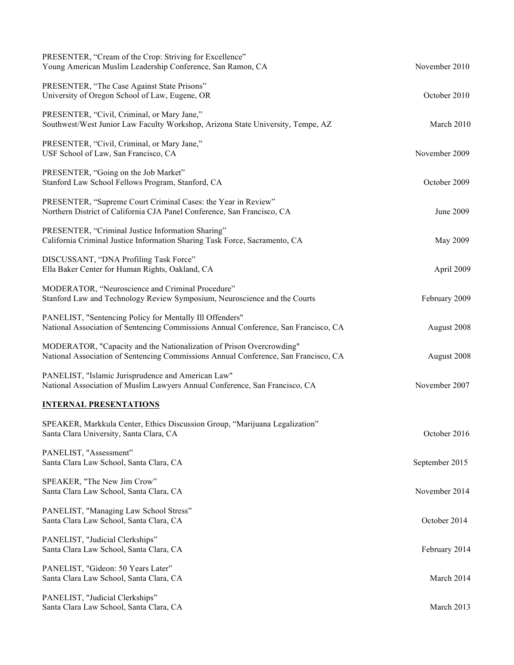| PRESENTER, "The Case Against State Prisons"<br>University of Oregon School of Law, Eugene, OR                                                               | October 2010   |
|-------------------------------------------------------------------------------------------------------------------------------------------------------------|----------------|
| PRESENTER, "Civil, Criminal, or Mary Jane,"<br>Southwest/West Junior Law Faculty Workshop, Arizona State University, Tempe, AZ                              | March 2010     |
| PRESENTER, "Civil, Criminal, or Mary Jane,"<br>USF School of Law, San Francisco, CA                                                                         | November 2009  |
| PRESENTER, "Going on the Job Market"<br>Stanford Law School Fellows Program, Stanford, CA                                                                   | October 2009   |
| PRESENTER, "Supreme Court Criminal Cases: the Year in Review"<br>Northern District of California CJA Panel Conference, San Francisco, CA                    | June 2009      |
| PRESENTER, "Criminal Justice Information Sharing"<br>California Criminal Justice Information Sharing Task Force, Sacramento, CA                             | May 2009       |
| DISCUSSANT, "DNA Profiling Task Force"<br>Ella Baker Center for Human Rights, Oakland, CA                                                                   | April 2009     |
| MODERATOR, "Neuroscience and Criminal Procedure"<br>Stanford Law and Technology Review Symposium, Neuroscience and the Courts                               | February 2009  |
| PANELIST, "Sentencing Policy for Mentally Ill Offenders"<br>National Association of Sentencing Commissions Annual Conference, San Francisco, CA             | August 2008    |
| MODERATOR, "Capacity and the Nationalization of Prison Overcrowding"<br>National Association of Sentencing Commissions Annual Conference, San Francisco, CA | August 2008    |
| PANELIST, "Islamic Jurisprudence and American Law"<br>National Association of Muslim Lawyers Annual Conference, San Francisco, CA                           | November 2007  |
| <b>INTERNAL PRESENTATIONS</b>                                                                                                                               |                |
| SPEAKER, Markkula Center, Ethics Discussion Group, "Marijuana Legalization"<br>Santa Clara University, Santa Clara, CA                                      | October 2016   |
| PANELIST, "Assessment"<br>Santa Clara Law School, Santa Clara, CA                                                                                           | September 2015 |
| SPEAKER, "The New Jim Crow"<br>Santa Clara Law School, Santa Clara, CA                                                                                      | November 2014  |
| PANELIST, "Managing Law School Stress"<br>Santa Clara Law School, Santa Clara, CA                                                                           | October 2014   |
| PANELIST, "Judicial Clerkships"<br>Santa Clara Law School, Santa Clara, CA                                                                                  | February 2014  |
| PANELIST, "Gideon: 50 Years Later"<br>Santa Clara Law School, Santa Clara, CA                                                                               | March 2014     |
| PANELIST, "Judicial Clerkships"<br>Santa Clara Law School, Santa Clara, CA                                                                                  | March 2013     |